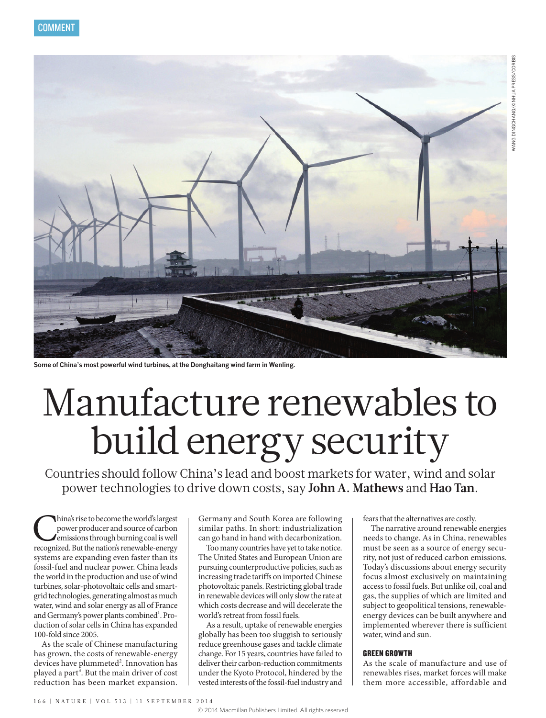

**Some of China's most powerful wind turbines, at the Donghaitang wind farm in Wenling.**

# Manufacture renewables to build energy security

Countries should follow China's lead and boost markets for water, wind and solar power technologies to drive down costs, say **John A. Mathews** and **Hao Tan**.

China's rise to become the world's largest<br>power producer and source of carbon<br>emissions through burning coal is well<br>recognized. But the nation's renewable-energy power producer and source of carbon emissions through burning coal is well systems are expanding even faster than its fossil-fuel and nuclear power. China leads the world in the production and use of wind turbines, solar-photovoltaic cells and smartgrid technologies, generating almost as much water, wind and solar energy as all of France and Germany's power plants combined<sup>1</sup>. Production of solar cells in China has expanded 100-fold since 2005.

As the scale of Chinese manufacturing has grown, the costs of renewable-energy devices have plummeted<sup>2</sup>. Innovation has played a part<sup>3</sup>. But the main driver of cost reduction has been market expansion. Germany and South Korea are following similar paths. In short: industrialization can go hand in hand with decarbonization.

Too many countries have yet to take notice. The United States and European Union are pursuing counterproductive policies, such as increasing trade tariffs on imported Chinese photovoltaic panels. Restricting global trade in renewable devices will only slow the rate at which costs decrease and will decelerate the world's retreat from fossil fuels.

As a result, uptake of renewable energies globally has been too sluggish to seriously reduce greenhouse gases and tackle climate change. For 15 years, countries have failed to deliver their carbon-reduction commitments under the Kyoto Protocol, hindered by the vested interests of the fossil-fuel industry and fears that the alternatives are costly.

The narrative around renewable energies needs to change. As in China, renewables must be seen as a source of energy security, not just of reduced carbon emissions. Today's discussions about energy security focus almost exclusively on maintaining access to fossil fuels. But unlike oil, coal and gas, the supplies of which are limited and subject to geopolitical tensions, renewableenergy devices can be built anywhere and implemented wherever there is sufficient water, wind and sun.

## GREEN GROWTH

As the scale of manufacture and use of renewables rises, market forces will make them more accessible, affordable and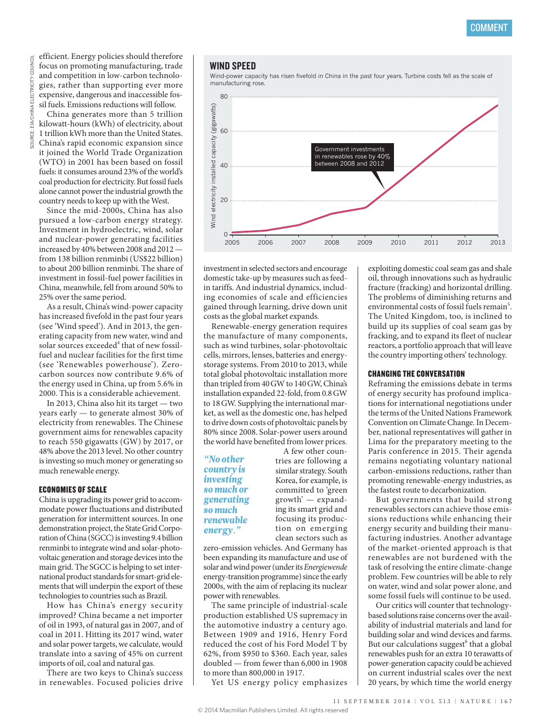efficient. Energy policies should therefore focus on promoting manufacturing, trade and competition in low-carbon technologies, rather than supporting ever more expensive, dangerous and inaccessible fossil fuels. Emissions reductions will follow.

China generates more than 5 trillion kilowatt-hours (kWh) of electricity, about 1 trillion kWh more than the United States. China's rapid economic expansion since it joined the World Trade Organization (WTO) in 2001 has been based on fossil fuels: it consumes around 23%of the world's coal production for electricity. But fossil fuels alone cannot power the industrial growth the country needs to keep up with the West.

Since the mid-2000s, China has also pursued a low-carbon energy strategy. Investment in hydroelectric, wind, solar and nuclear-power generating facilities increased by 40% between 2008 and 2012 from 138 billion renminbi (US\$22 billion) to about 200 billion renminbi. The share of investment in fossil-fuel power facilities in China, meanwhile, fell from around 50% to 25% over the same period.

As a result, China's wind-power capacity has increased fivefold in the past four years (see 'Wind speed'). And in 2013, the generating capacity from new water, wind and solar sources exceeded<sup>4</sup> that of new fossilfuel and nuclear facilities for the first time (see 'Renewables powerhouse'). Zerocarbon sources now contribute 9.6% of the energy used in China, up from 5.6% in 2000. This is a considerable achievement.

In 2013, China also hit its target — two years early — to generate almost 30% of electricity from renewables. The Chinese government aims for renewables capacity to reach 550 gigawatts (GW) by 2017, or 48% above the 2013 level. No other country is investing so much money or generating so much renewable energy.

## ECONOMIES OF SCALE

China is upgrading its power grid to accommodate power fluctuations and distributed generation for intermittent sources. In one demonstration project, the State Grid Corporation of China (SGCC) is investing 9.4 billion renminbi to integrate wind and solar-photovoltaic generation and storage devices into the main grid. The SGCC is helping to set international product standards for smart-grid elements that will underpin the export of these technologies to countries such as Brazil.

How has China's energy security improved? China became a net importer of oil in 1993, of natural gas in 2007, and of coal in 2011. Hitting its 2017 wind, water and solar power targets, we calculate, would translate into a saving of 45% on current imports of oil, coal and natural gas.

There are two keys to China's success in renewables. Focused policies drive

### WIND SPEED

Wind-power capacity has risen fivefold in China in the past four years. Turbine costs fell as the scale of manufacturing rose.



investment in selected sectors and encourage domestic take-up by measures such as feedin tariffs. And industrial dynamics, including economies of scale and efficiencies gained through learning, drive down unit costs as the global market expands.

Renewable-energy generation requires the manufacture of many components, such as wind turbines, solar-photovoltaic cells, mirrors, lenses, batteries and energystorage systems. From 2010 to 2013, while total global photovoltaic installation more than tripled from 40GW to 140GW, China's installation expanded 22-fold, from 0.8GW to 18GW. Supplying the international market, as well as the domestic one, has helped to drive down costs of photovoltaic panels by 80% since 2008. Solar-power users around the world have benefited from lower prices.

*"No other country is investing so much or*  **generating** growth' *so much renewable energy."*

A few other countries are following a similar strategy. South Korea, for example, is committed to 'green growth' — expanding its smart grid and focusing its production on emerging clean sectors such as

zero-emission vehicles. And Germany has been expanding its manufacture and use of responsibility solar and wind power (under its *Energiewende* energy-transition programme) since the early 2000s, with the aim of replacing its nuclear power with renewables.

The same principle of industrial-scale production established US supremacy in the automotive industry a century ago. atternative matterly a century ago.<br>Between 1909 and 1916, Henry Ford reduced the cost of his Ford Model T by 62%, from \$950 to \$360. Each year, sales doubled  $-$  from fewer than 6,000 in 1908 to more than 800,000 in 1917.

Yet US energy policy emphasizes

exploiting domestic coal seam gas and shale oil, through innovations such as hydraulic fracture (fracking) and horizontal drilling. The problems of diminishing returns and environmental costs of fossil fuels remain<sup>5</sup>. The United Kingdom, too, is inclined to build up its supplies of coal seam gas by fracking, and to expand its fleet of nuclear reactors, a portfolio approach that will leave the country importing others' technology.

#### CHANGING THE CONVERSATION

Reframing the emissions debate in terms of energy security has profound implications for international negotiations under the terms of the United Nations Framework Convention on Climate Change. In December, national representatives will gather in Lima for the preparatory meeting to the Paris conference in 2015. Their agenda remains negotiating voluntary national carbon-emissions reductions, rather than promoting renewable-energy industries, as the fastest route to decarbonization.

But governments that build strong  $\bm{p}$  much ing its smart grid and renewables sectors can achieve those emissions reductions while enhancing their energy security and building their manufacturing industries. Another advantage of the market-oriented approach is that renewables are not burdened with the task of resolving the entire climate-change problem. Few countries will be able to rely on water, wind and solar power alone, and some fossil fuels will continue to be used.

> Our critics will counter that technologybased solutions raise concerns over the availability of industrial materials and land for building solar and wind devices and farms. But our calculations suggest<sup>6</sup> that a global renewables push for an extra 10 terawatts of power-generation capacity could be achieved on current industrial scales over the next 20 years, by which time the world energy no suggest that a gr